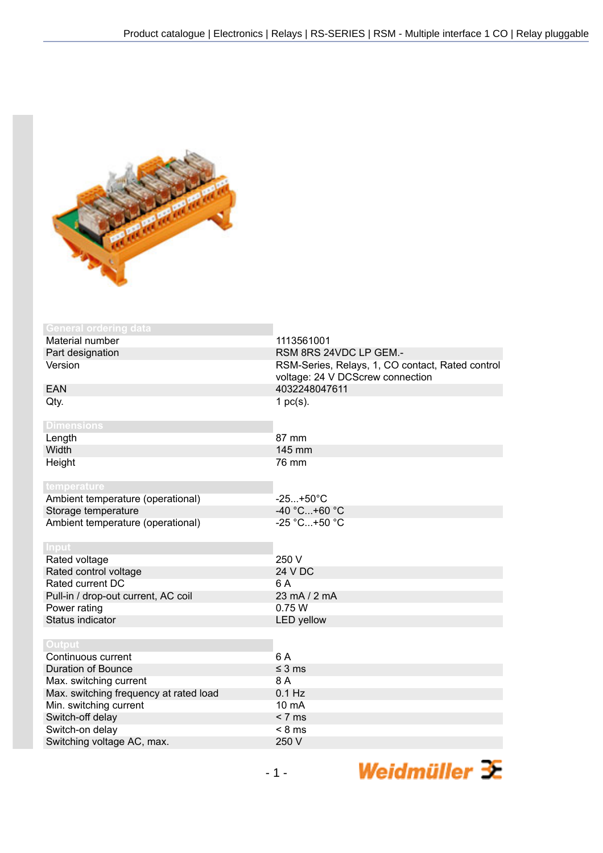

| <b>General ordering data</b>           |                                                                                      |
|----------------------------------------|--------------------------------------------------------------------------------------|
| Material number                        | 1113561001                                                                           |
| Part designation                       | RSM 8RS 24VDC LP GEM.-                                                               |
| Version                                |                                                                                      |
|                                        | RSM-Series, Relays, 1, CO contact, Rated control<br>voltage: 24 V DCScrew connection |
| <b>EAN</b>                             | 4032248047611                                                                        |
| Qty.                                   | 1 $pc(s)$ .                                                                          |
|                                        |                                                                                      |
| <b>Dimensions</b>                      |                                                                                      |
| Length                                 | 87 mm                                                                                |
| Width                                  | 145 mm                                                                               |
| Height                                 | 76 mm                                                                                |
|                                        |                                                                                      |
| temperature                            |                                                                                      |
| Ambient temperature (operational)      | $-25+50^{\circ}C$                                                                    |
| Storage temperature                    | $-40 °C+60 °C$                                                                       |
| Ambient temperature (operational)      | $-25 °C+50 °C$                                                                       |
|                                        |                                                                                      |
| <b>Input</b>                           |                                                                                      |
| Rated voltage                          | 250 V                                                                                |
| Rated control voltage                  | <b>24 V DC</b>                                                                       |
| Rated current DC                       | 6 A                                                                                  |
| Pull-in / drop-out current, AC coil    | $23 \text{ mA} / 2 \text{ mA}$                                                       |
| Power rating                           | 0.75W                                                                                |
| Status indicator                       | <b>LED</b> yellow                                                                    |
|                                        |                                                                                      |
| Output                                 |                                                                                      |
| Continuous current                     | 6 A                                                                                  |
| <b>Duration of Bounce</b>              | $\leq$ 3 ms                                                                          |
| Max. switching current                 | 8 A                                                                                  |
| Max. switching frequency at rated load | $0.1$ Hz                                                                             |
| Min. switching current                 | $10 \text{ mA}$                                                                      |
| Switch-off delay                       | < 7 ms                                                                               |
| Switch-on delay                        | $< 8$ ms                                                                             |
| Switching voltage AC, max.             | 250 V                                                                                |

Weidmüller 3E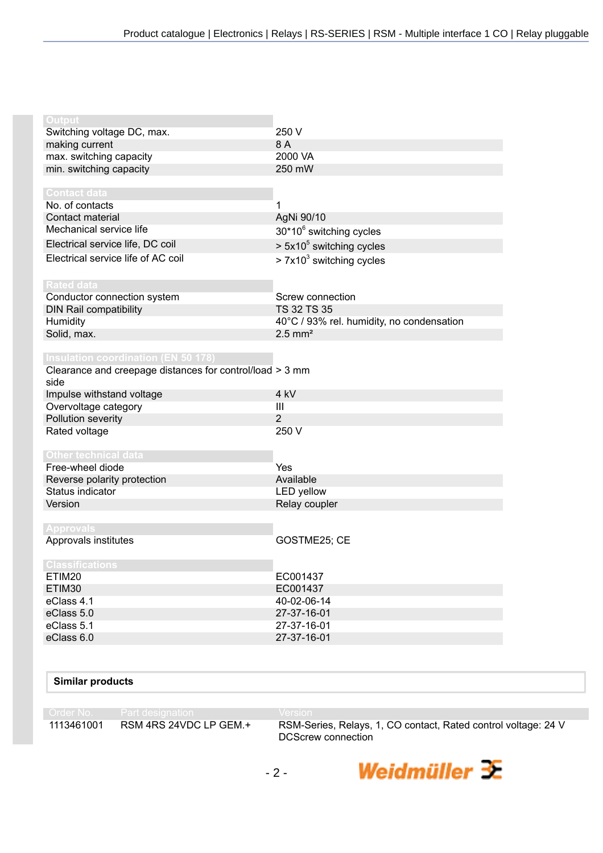| Output                                                   |                                           |
|----------------------------------------------------------|-------------------------------------------|
| Switching voltage DC, max.                               | 250 V                                     |
| making current                                           | 8 A                                       |
| max. switching capacity                                  | 2000 VA                                   |
| min. switching capacity                                  | 250 mW                                    |
|                                                          |                                           |
| <b>Contact data</b>                                      |                                           |
| No. of contacts                                          |                                           |
| Contact material                                         | AgNi 90/10                                |
| Mechanical service life                                  | 30*10 <sup>6</sup> switching cycles       |
| Electrical service life, DC coil                         | $> 5x105$ switching cycles                |
| Electrical service life of AC coil                       | $> 7x103$ switching cycles                |
|                                                          |                                           |
| <b>Rated data</b>                                        |                                           |
| Conductor connection system                              | Screw connection                          |
| <b>DIN Rail compatibility</b>                            | TS 32 TS 35                               |
| Humidity                                                 | 40°C / 93% rel. humidity, no condensation |
| Solid, max.                                              | $2.5$ mm <sup>2</sup>                     |
|                                                          |                                           |
| <b>Insulation coordination (EN 50 178)</b>               |                                           |
| Clearance and creepage distances for control/load > 3 mm |                                           |
| side                                                     |                                           |
|                                                          |                                           |
| Impulse withstand voltage                                | 4 kV                                      |
| Overvoltage category                                     | Ш                                         |
| Pollution severity                                       | 2                                         |
| Rated voltage                                            | 250 V                                     |
|                                                          |                                           |
| <b>Other technical data</b>                              |                                           |
| Free-wheel diode                                         | Yes                                       |
| Reverse polarity protection                              | Available                                 |
| Status indicator                                         | LED yellow                                |
| Version                                                  | Relay coupler                             |
|                                                          |                                           |
| <b>Approvals</b>                                         |                                           |
| Approvals institutes                                     | GOSTME25; CE                              |
|                                                          |                                           |
| <b>Classifications</b>                                   |                                           |
| ETIM20                                                   | EC001437                                  |
| ETIM30                                                   | EC001437                                  |
| eClass 4.1                                               | 40-02-06-14                               |
| eClass 5.0                                               | 27-37-16-01                               |
| eClass 5.1                                               | 27-37-16-01                               |
| eClass 6.0                                               | 27-37-16-01                               |

## **Similar products**

Order No. Part designation<br>1113461001 RSM 4RS 24VDC LP GEM.+

RSM-Series, Relays, 1, CO contact, Rated control voltage: 24 V DCScrew connection